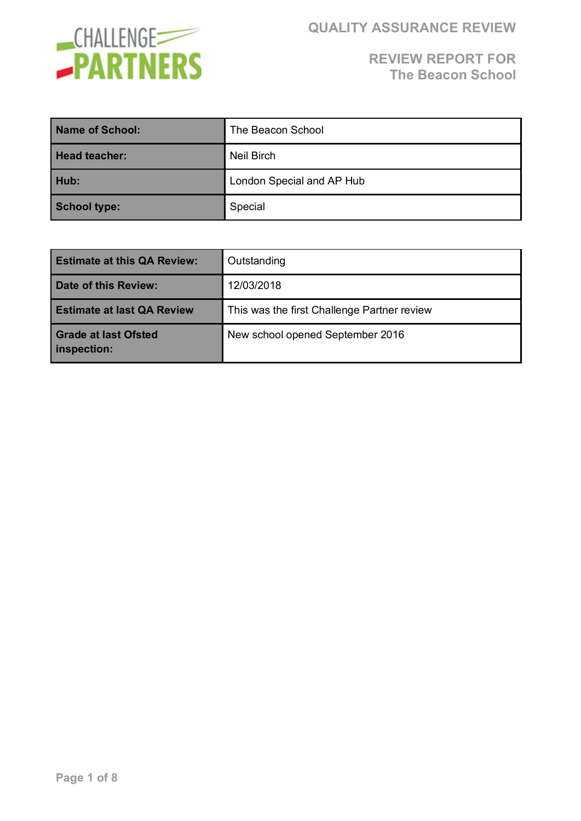

| Name of School:      | The Beacon School         |
|----------------------|---------------------------|
| <b>Head teacher:</b> | Neil Birch                |
| Hub:                 | London Special and AP Hub |
| <b>School type:</b>  | Special                   |

| <b>Estimate at this QA Review:</b>         | Outstanding                                 |
|--------------------------------------------|---------------------------------------------|
| Date of this Review:                       | 12/03/2018                                  |
| <b>Estimate at last QA Review</b>          | This was the first Challenge Partner review |
| <b>Grade at last Ofsted</b><br>inspection: | New school opened September 2016            |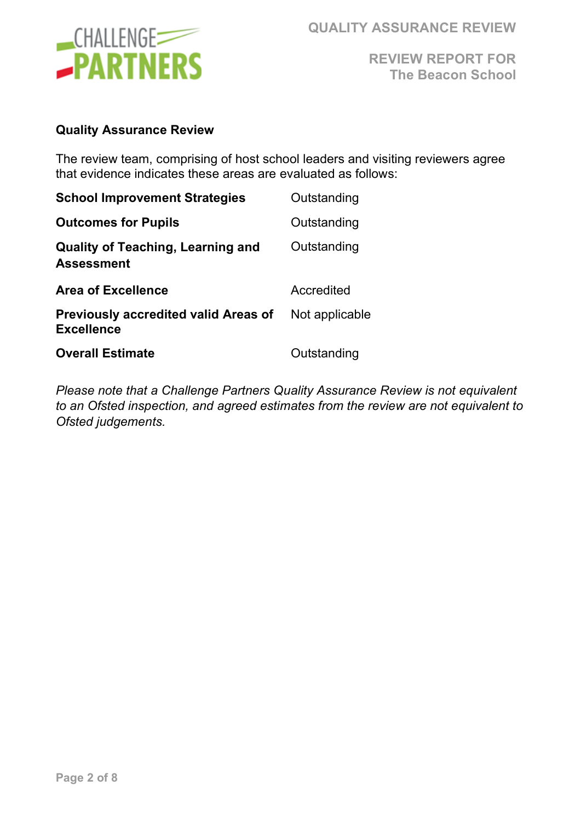

**QUALITY ASSURANCE REVIEW**

**REVIEW REPORT FOR The Beacon School** 

#### **Quality Assurance Review**

The review team, comprising of host school leaders and visiting reviewers agree that evidence indicates these areas are evaluated as follows:

| <b>School Improvement Strategies</b>                             | Outstanding    |
|------------------------------------------------------------------|----------------|
| <b>Outcomes for Pupils</b>                                       | Outstanding    |
| <b>Quality of Teaching, Learning and</b><br><b>Assessment</b>    | Outstanding    |
| <b>Area of Excellence</b>                                        | Accredited     |
| <b>Previously accredited valid Areas of</b><br><b>Excellence</b> | Not applicable |
| <b>Overall Estimate</b>                                          | Outstanding    |

*Please note that a Challenge Partners Quality Assurance Review is not equivalent to an Ofsted inspection, and agreed estimates from the review are not equivalent to Ofsted judgements.*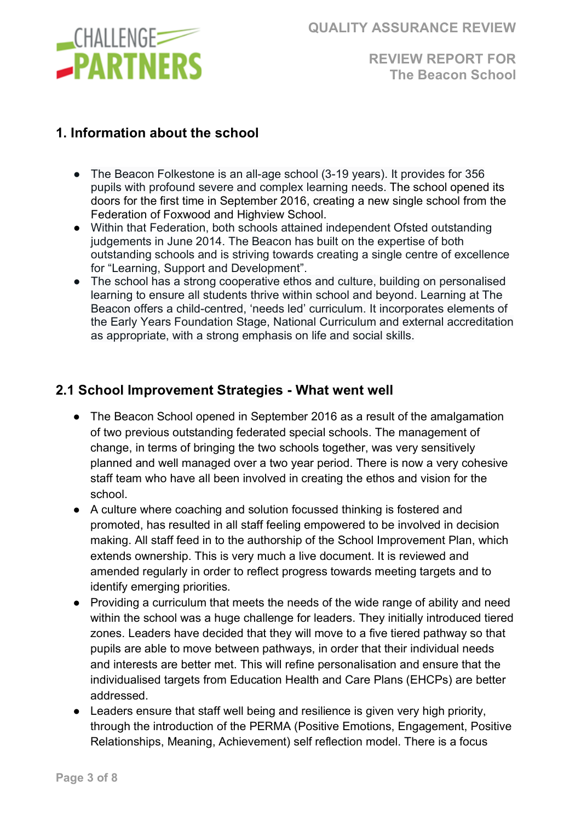

#### **1. Information about the school**

- The Beacon Folkestone is an all-age school (3-19 years). It provides for 356 pupils with profound severe and complex learning needs. The school opened its doors for the first time in September 2016, creating a new single school from the Federation of Foxwood and Highview School.
- Within that Federation, both schools attained independent Ofsted outstanding judgements in June 2014. The Beacon has built on the expertise of both outstanding schools and is striving towards creating a single centre of excellence for "Learning, Support and Development".
- The school has a strong cooperative ethos and culture, building on personalised learning to ensure all students thrive within school and beyond. Learning at The Beacon offers a child-centred, 'needs led' curriculum. It incorporates elements of the Early Years Foundation Stage, National Curriculum and external accreditation as appropriate, with a strong emphasis on life and social skills.

#### **2.1 School Improvement Strategies - What went well**

- The Beacon School opened in September 2016 as a result of the amalgamation of two previous outstanding federated special schools. The management of change, in terms of bringing the two schools together, was very sensitively planned and well managed over a two year period. There is now a very cohesive staff team who have all been involved in creating the ethos and vision for the school.
- A culture where coaching and solution focussed thinking is fostered and promoted, has resulted in all staff feeling empowered to be involved in decision making. All staff feed in to the authorship of the School Improvement Plan, which extends ownership. This is very much a live document. It is reviewed and amended regularly in order to reflect progress towards meeting targets and to identify emerging priorities.
- Providing a curriculum that meets the needs of the wide range of ability and need within the school was a huge challenge for leaders. They initially introduced tiered zones. Leaders have decided that they will move to a five tiered pathway so that pupils are able to move between pathways, in order that their individual needs and interests are better met. This will refine personalisation and ensure that the individualised targets from Education Health and Care Plans (EHCPs) are better addressed.
- Leaders ensure that staff well being and resilience is given very high priority, through the introduction of the PERMA (Positive Emotions, Engagement, Positive Relationships, Meaning, Achievement) self reflection model. There is a focus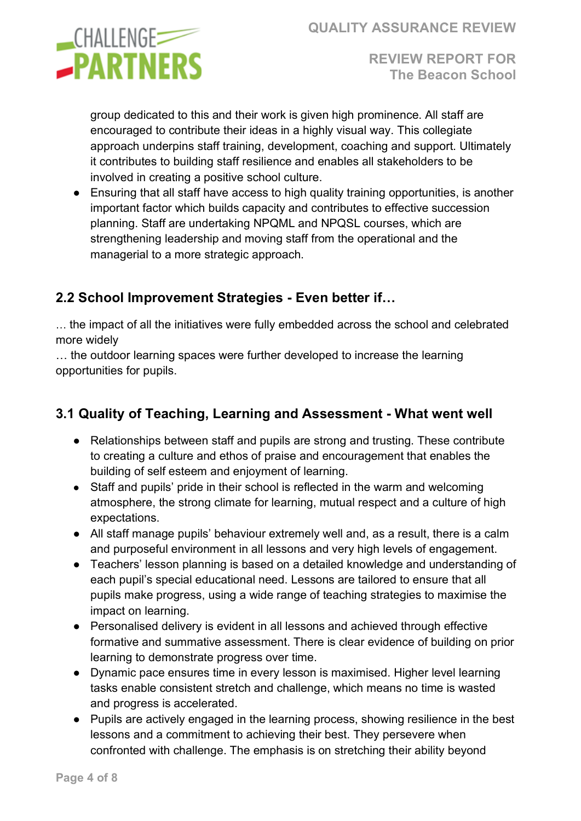

group dedicated to this and their work is given high prominence. All staff are encouraged to contribute their ideas in a highly visual way. This collegiate approach underpins staff training, development, coaching and support. Ultimately it contributes to building staff resilience and enables all stakeholders to be involved in creating a positive school culture.

● Ensuring that all staff have access to high quality training opportunities, is another important factor which builds capacity and contributes to effective succession planning. Staff are undertaking NPQML and NPQSL courses, which are strengthening leadership and moving staff from the operational and the managerial to a more strategic approach.

## **2.2 School Improvement Strategies - Even better if…**

… the impact of all the initiatives were fully embedded across the school and celebrated more widely

… the outdoor learning spaces were further developed to increase the learning opportunities for pupils.

# **3.1 Quality of Teaching, Learning and Assessment - What went well**

- Relationships between staff and pupils are strong and trusting. These contribute to creating a culture and ethos of praise and encouragement that enables the building of self esteem and enjoyment of learning.
- Staff and pupils' pride in their school is reflected in the warm and welcoming atmosphere, the strong climate for learning, mutual respect and a culture of high expectations.
- All staff manage pupils' behaviour extremely well and, as a result, there is a calm and purposeful environment in all lessons and very high levels of engagement.
- Teachers' lesson planning is based on a detailed knowledge and understanding of each pupil's special educational need. Lessons are tailored to ensure that all pupils make progress, using a wide range of teaching strategies to maximise the impact on learning.
- Personalised delivery is evident in all lessons and achieved through effective formative and summative assessment. There is clear evidence of building on prior learning to demonstrate progress over time.
- Dynamic pace ensures time in every lesson is maximised. Higher level learning tasks enable consistent stretch and challenge, which means no time is wasted and progress is accelerated.
- Pupils are actively engaged in the learning process, showing resilience in the best lessons and a commitment to achieving their best. They persevere when confronted with challenge. The emphasis is on stretching their ability beyond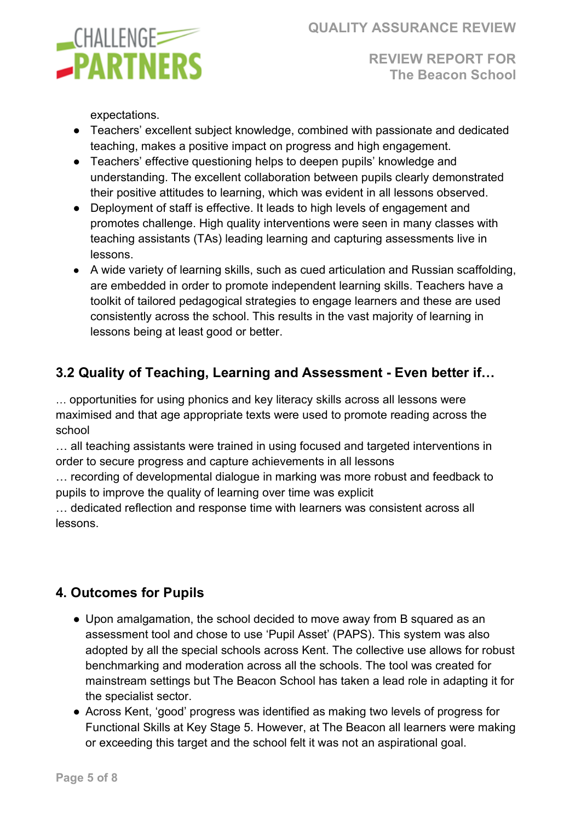

expectations.

- Teachers' excellent subject knowledge, combined with passionate and dedicated teaching, makes a positive impact on progress and high engagement.
- Teachers' effective questioning helps to deepen pupils' knowledge and understanding. The excellent collaboration between pupils clearly demonstrated their positive attitudes to learning, which was evident in all lessons observed.
- Deployment of staff is effective. It leads to high levels of engagement and promotes challenge. High quality interventions were seen in many classes with teaching assistants (TAs) leading learning and capturing assessments live in lessons.
- A wide variety of learning skills, such as cued articulation and Russian scaffolding, are embedded in order to promote independent learning skills. Teachers have a toolkit of tailored pedagogical strategies to engage learners and these are used consistently across the school. This results in the vast majority of learning in lessons being at least good or better.

## **3.2 Quality of Teaching, Learning and Assessment - Even better if…**

… opportunities for using phonics and key literacy skills across all lessons were maximised and that age appropriate texts were used to promote reading across the school

… all teaching assistants were trained in using focused and targeted interventions in order to secure progress and capture achievements in all lessons

… recording of developmental dialogue in marking was more robust and feedback to pupils to improve the quality of learning over time was explicit

… dedicated reflection and response time with learners was consistent across all lessons.

## **4. Outcomes for Pupils**

- Upon amalgamation, the school decided to move away from B squared as an assessment tool and chose to use 'Pupil Asset' (PAPS). This system was also adopted by all the special schools across Kent. The collective use allows for robust benchmarking and moderation across all the schools. The tool was created for mainstream settings but The Beacon School has taken a lead role in adapting it for the specialist sector.
- Across Kent, 'good' progress was identified as making two levels of progress for Functional Skills at Key Stage 5. However, at The Beacon all learners were making or exceeding this target and the school felt it was not an aspirational goal.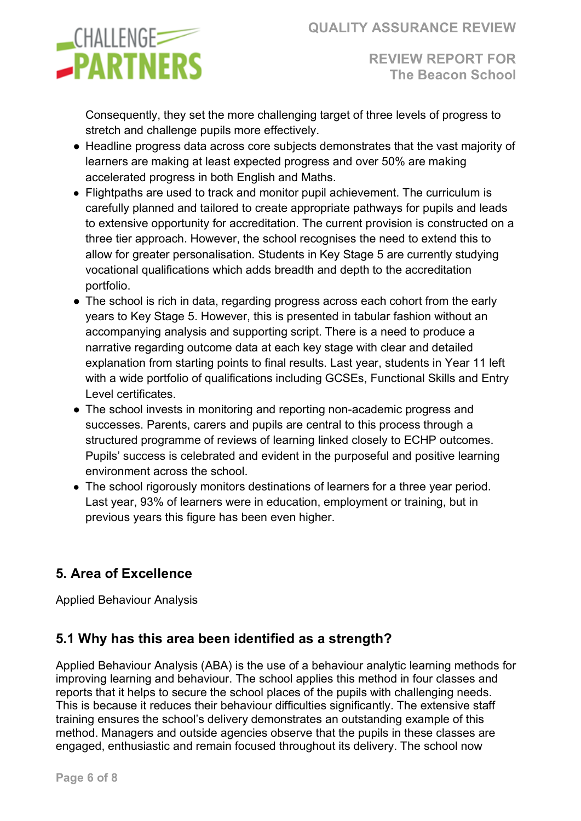

Consequently, they set the more challenging target of three levels of progress to stretch and challenge pupils more effectively.

- Headline progress data across core subjects demonstrates that the vast majority of learners are making at least expected progress and over 50% are making accelerated progress in both English and Maths.
- Flightpaths are used to track and monitor pupil achievement. The curriculum is carefully planned and tailored to create appropriate pathways for pupils and leads to extensive opportunity for accreditation. The current provision is constructed on a three tier approach. However, the school recognises the need to extend this to allow for greater personalisation. Students in Key Stage 5 are currently studying vocational qualifications which adds breadth and depth to the accreditation portfolio.
- The school is rich in data, regarding progress across each cohort from the early years to Key Stage 5. However, this is presented in tabular fashion without an accompanying analysis and supporting script. There is a need to produce a narrative regarding outcome data at each key stage with clear and detailed explanation from starting points to final results. Last year, students in Year 11 left with a wide portfolio of qualifications including GCSEs, Functional Skills and Entry Level certificates.
- The school invests in monitoring and reporting non-academic progress and successes. Parents, carers and pupils are central to this process through a structured programme of reviews of learning linked closely to ECHP outcomes. Pupils' success is celebrated and evident in the purposeful and positive learning environment across the school.
- The school rigorously monitors destinations of learners for a three year period. Last year, 93% of learners were in education, employment or training, but in previous years this figure has been even higher.

## **5. Area of Excellence**

Applied Behaviour Analysis

## **5.1 Why has this area been identified as a strength?**

Applied Behaviour Analysis (ABA) is the use of a behaviour analytic learning methods for improving learning and behaviour. The school applies this method in four classes and reports that it helps to secure the school places of the pupils with challenging needs. This is because it reduces their behaviour difficulties significantly. The extensive staff training ensures the school's delivery demonstrates an outstanding example of this method. Managers and outside agencies observe that the pupils in these classes are engaged, enthusiastic and remain focused throughout its delivery. The school now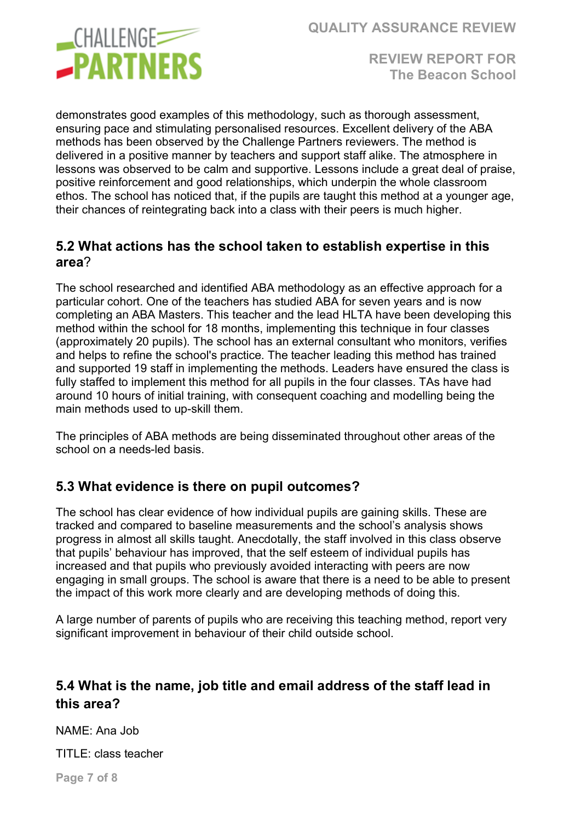



demonstrates good examples of this methodology, such as thorough assessment, ensuring pace and stimulating personalised resources. Excellent delivery of the ABA methods has been observed by the Challenge Partners reviewers. The method is delivered in a positive manner by teachers and support staff alike. The atmosphere in lessons was observed to be calm and supportive. Lessons include a great deal of praise, positive reinforcement and good relationships, which underpin the whole classroom ethos. The school has noticed that, if the pupils are taught this method at a younger age, their chances of reintegrating back into a class with their peers is much higher.

#### **5.2 What actions has the school taken to establish expertise in this area**?

The school researched and identified ABA methodology as an effective approach for a particular cohort. One of the teachers has studied ABA for seven years and is now completing an ABA Masters. This teacher and the lead HLTA have been developing this method within the school for 18 months, implementing this technique in four classes (approximately 20 pupils). The school has an external consultant who monitors, verifies and helps to refine the school's practice. The teacher leading this method has trained and supported 19 staff in implementing the methods. Leaders have ensured the class is fully staffed to implement this method for all pupils in the four classes. TAs have had around 10 hours of initial training, with consequent coaching and modelling being the main methods used to up-skill them.

The principles of ABA methods are being disseminated throughout other areas of the school on a needs-led basis.

## **5.3 What evidence is there on pupil outcomes?**

The school has clear evidence of how individual pupils are gaining skills. These are tracked and compared to baseline measurements and the school's analysis shows progress in almost all skills taught. Anecdotally, the staff involved in this class observe that pupils' behaviour has improved, that the self esteem of individual pupils has increased and that pupils who previously avoided interacting with peers are now engaging in small groups. The school is aware that there is a need to be able to present the impact of this work more clearly and are developing methods of doing this.

A large number of parents of pupils who are receiving this teaching method, report very significant improvement in behaviour of their child outside school.

#### **5.4 What is the name, job title and email address of the staff lead in this area?**

NAME: Ana Job

TITLE: class teacher